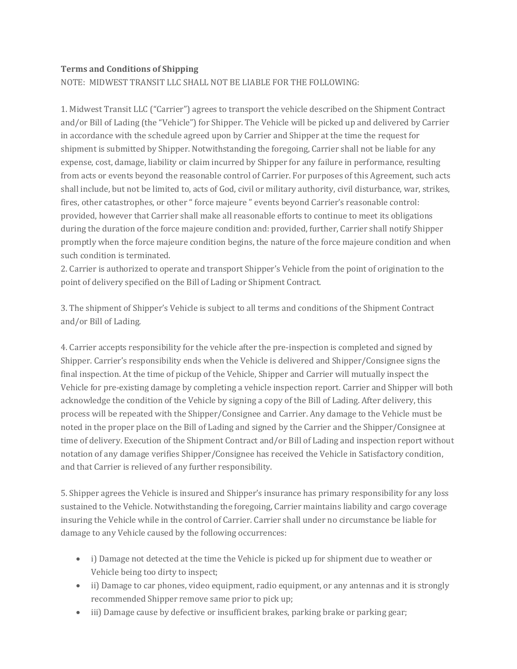## **Terms and Conditions of Shipping**

NOTE: MIDWEST TRANSIT LLC SHALL NOT BE LIABLE FOR THE FOLLOWING:

1. Midwest Transit LLC ("Carrier") agrees to transport the vehicle described on the Shipment Contract and/or Bill of Lading (the "Vehicle") for Shipper. The Vehicle will be picked up and delivered by Carrier in accordance with the schedule agreed upon by Carrier and Shipper at the time the request for shipment is submitted by Shipper. Notwithstanding the foregoing, Carrier shall not be liable for any expense, cost, damage, liability or claim incurred by Shipper for any failure in performance, resulting from acts or events beyond the reasonable control of Carrier. For purposes of this Agreement, such acts shall include, but not be limited to, acts of God, civil or military authority, civil disturbance, war, strikes, fires, other catastrophes, or other " force majeure " events beyond Carrier's reasonable control: provided, however that Carrier shall make all reasonable efforts to continue to meet its obligations during the duration of the force majeure condition and: provided, further, Carrier shall notify Shipper promptly when the force majeure condition begins, the nature of the force majeure condition and when such condition is terminated.

2. Carrier is authorized to operate and transport Shipper's Vehicle from the point of origination to the point of delivery specified on the Bill of Lading or Shipment Contract.

3. The shipment of Shipper's Vehicle is subject to all terms and conditions of the Shipment Contract and/or Bill of Lading.

4. Carrier accepts responsibility for the vehicle after the pre-inspection is completed and signed by Shipper. Carrier's responsibility ends when the Vehicle is delivered and Shipper/Consignee signs the final inspection. At the time of pickup of the Vehicle, Shipper and Carrier will mutually inspect the Vehicle for pre-existing damage by completing a vehicle inspection report. Carrier and Shipper will both acknowledge the condition of the Vehicle by signing a copy of the Bill of Lading. After delivery, this process will be repeated with the Shipper/Consignee and Carrier. Any damage to the Vehicle must be noted in the proper place on the Bill of Lading and signed by the Carrier and the Shipper/Consignee at time of delivery. Execution of the Shipment Contract and/or Bill of Lading and inspection report without notation of any damage verifies Shipper/Consignee has received the Vehicle in Satisfactory condition, and that Carrier is relieved of any further responsibility.

5. Shipper agrees the Vehicle is insured and Shipper's insurance has primary responsibility for any loss sustained to the Vehicle. Notwithstanding the foregoing, Carrier maintains liability and cargo coverage insuring the Vehicle while in the control of Carrier. Carrier shall under no circumstance be liable for damage to any Vehicle caused by the following occurrences:

- i) Damage not detected at the time the Vehicle is picked up for shipment due to weather or Vehicle being too dirty to inspect;
- ii) Damage to car phones, video equipment, radio equipment, or any antennas and it is strongly recommended Shipper remove same prior to pick up;
- iii) Damage cause by defective or insufficient brakes, parking brake or parking gear;